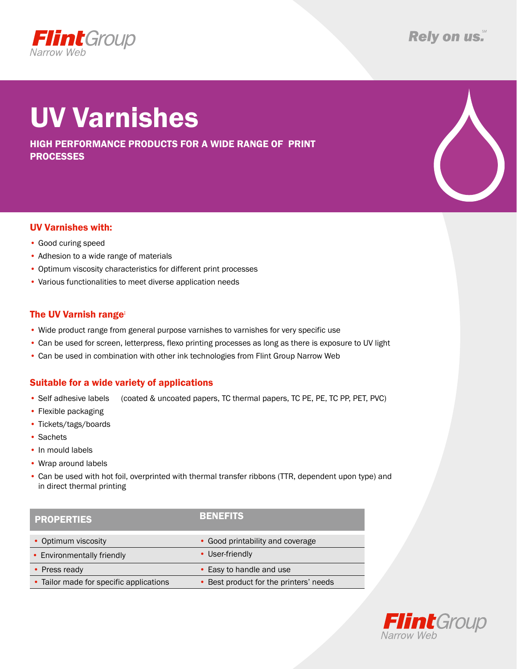

# UV Varnishes

high performance products for a wide range of print processes



- Good curing speed
- Adhesion to a wide range of materials
- Optimum viscosity characteristics for different print processes
- • Various functionalities to meet diverse application needs

### The UV Varnish range:

- Wide product range from general purpose varnishes to varnishes for very specific use
- • Can be used for screen, letterpress, flexo printing processes as long as there is exposure to UV light
- Can be used in combination with other ink technologies from Flint Group Narrow Web

### Suitable for a wide variety of applications

- Self adhesive labels (coated & uncoated papers, TC thermal papers, TC PE, PE, TC PP, PET, PVC)
- Flexible packaging
- Tickets/tags/boards
- • Sachets
- In mould labels
- • Wrap around labels
- • Can be used with hot foil, overprinted with thermal transfer ribbons (TTR, dependent upon type) and in direct thermal printing

| <b>PROPERTIES</b>                       | <b>BENEFITS</b>                        |
|-----------------------------------------|----------------------------------------|
| • Optimum viscosity                     | • Good printability and coverage       |
| • Environmentally friendly              | • User-friendly                        |
| • Press ready                           | • Easy to handle and use               |
| • Tailor made for specific applications | • Best product for the printers' needs |